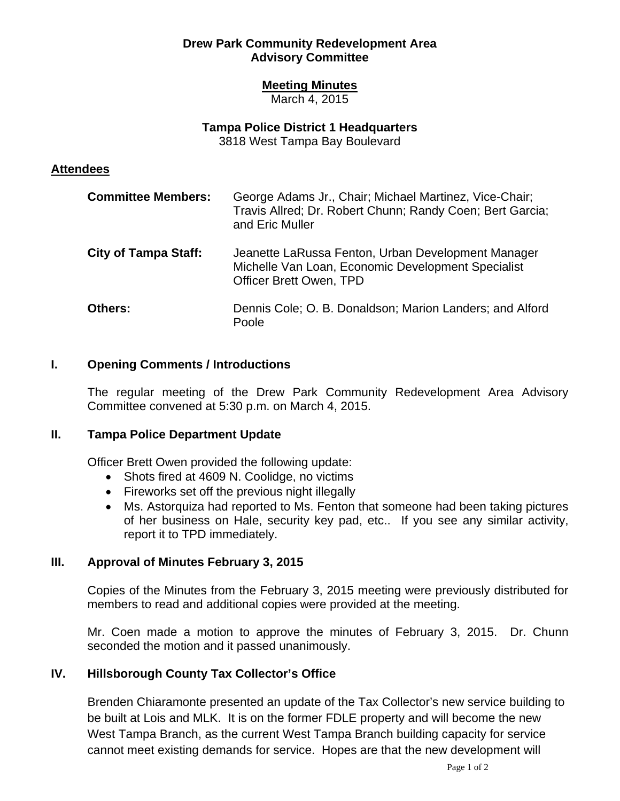## **Drew Park Community Redevelopment Area Advisory Committee**

## **Meeting Minutes**

March 4, 2015

# **Tampa Police District 1 Headquarters**

3818 West Tampa Bay Boulevard

### **Attendees**

| <b>Committee Members:</b>   | George Adams Jr., Chair; Michael Martinez, Vice-Chair;<br>Travis Allred; Dr. Robert Chunn; Randy Coen; Bert Garcia;<br>and Eric Muller     |
|-----------------------------|--------------------------------------------------------------------------------------------------------------------------------------------|
| <b>City of Tampa Staff:</b> | Jeanette LaRussa Fenton, Urban Development Manager<br>Michelle Van Loan, Economic Development Specialist<br><b>Officer Brett Owen, TPD</b> |
| Others:                     | Dennis Cole; O. B. Donaldson; Marion Landers; and Alford<br>Poole                                                                          |

### **I. Opening Comments / Introductions**

The regular meeting of the Drew Park Community Redevelopment Area Advisory Committee convened at 5:30 p.m. on March 4, 2015.

# **II. Tampa Police Department Update**

Officer Brett Owen provided the following update:

- Shots fired at 4609 N. Coolidge, no victims
- Fireworks set off the previous night illegally
- Ms. Astorquiza had reported to Ms. Fenton that someone had been taking pictures of her business on Hale, security key pad, etc.. If you see any similar activity, report it to TPD immediately.

# **III. Approval of Minutes February 3, 2015**

Copies of the Minutes from the February 3, 2015 meeting were previously distributed for members to read and additional copies were provided at the meeting.

Mr. Coen made a motion to approve the minutes of February 3, 2015. Dr. Chunn seconded the motion and it passed unanimously.

# **IV. Hillsborough County Tax Collector's Office**

Brenden Chiaramonte presented an update of the Tax Collector's new service building to be built at Lois and MLK. It is on the former FDLE property and will become the new West Tampa Branch, as the current West Tampa Branch building capacity for service cannot meet existing demands for service. Hopes are that the new development will